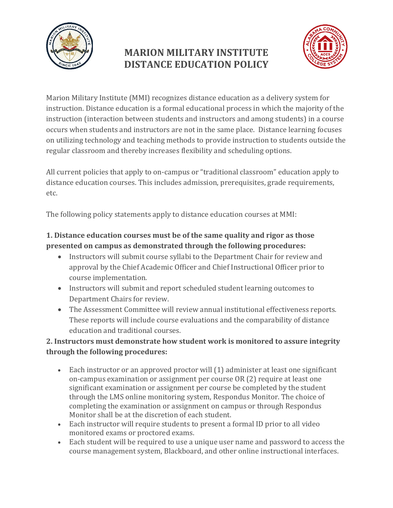

## **MARION MILITARY INSTITUTE DISTANCE EDUCATION POLICY**



Marion Military Institute (MMI) recognizes distance education as a delivery system for instruction. Distance education is a formal educational process in which the majority of the instruction (interaction between students and instructors and among students) in a course occurs when students and instructors are not in the same place. Distance learning focuses on utilizing technology and teaching methods to provide instruction to students outside the regular classroom and thereby increases flexibility and scheduling options.

All current policies that apply to on-campus or "traditional classroom" education apply to distance education courses. This includes admission, prerequisites, grade requirements, etc.

The following policy statements apply to distance education courses at MMI:

## **1. Distance education courses must be of the same quality and rigor as those presented on campus as demonstrated through the following procedures:**

- Instructors will submit course syllabi to the Department Chair for review and approval by the Chief Academic Officer and Chief Instructional Officer prior to course implementation.
- Instructors will submit and report scheduled student learning outcomes to Department Chairs for review.
- The Assessment Committee will review annual institutional effectiveness reports. These reports will include course evaluations and the comparability of distance education and traditional courses.

## **2. Instructors must demonstrate how student work is monitored to assure integrity through the following procedures:**

- Each instructor or an approved proctor will (1) administer at least one significant on-campus examination or assignment per course OR (2) require at least one significant examination or assignment per course be completed by the student through the LMS online monitoring system, Respondus Monitor. The choice of completing the examination or assignment on campus or through Respondus Monitor shall be at the discretion of each student.
- Each instructor will require students to present a formal ID prior to all video monitored exams or proctored exams.
- Each student will be required to use a unique user name and password to access the course management system, Blackboard, and other online instructional interfaces.